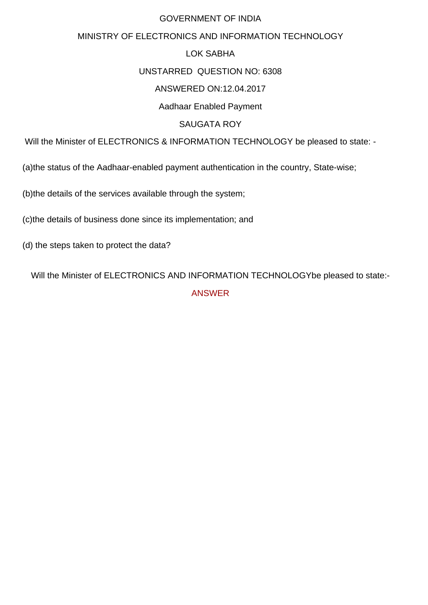## GOVERNMENT OF INDIA

# MINISTRY OF ELECTRONICS AND INFORMATION TECHNOLOGY

# LOK SABHA

#### UNSTARRED QUESTION NO: 6308

## ANSWERED ON:12.04.2017

### Aadhaar Enabled Payment

## SAUGATA ROY

Will the Minister of ELECTRONICS & INFORMATION TECHNOLOGY be pleased to state: -

(a)the status of the Aadhaar-enabled payment authentication in the country, State-wise;

(b)the details of the services available through the system;

(c)the details of business done since its implementation; and

(d) the steps taken to protect the data?

Will the Minister of ELECTRONICS AND INFORMATION TECHNOLOGYbe pleased to state:- ANSWER